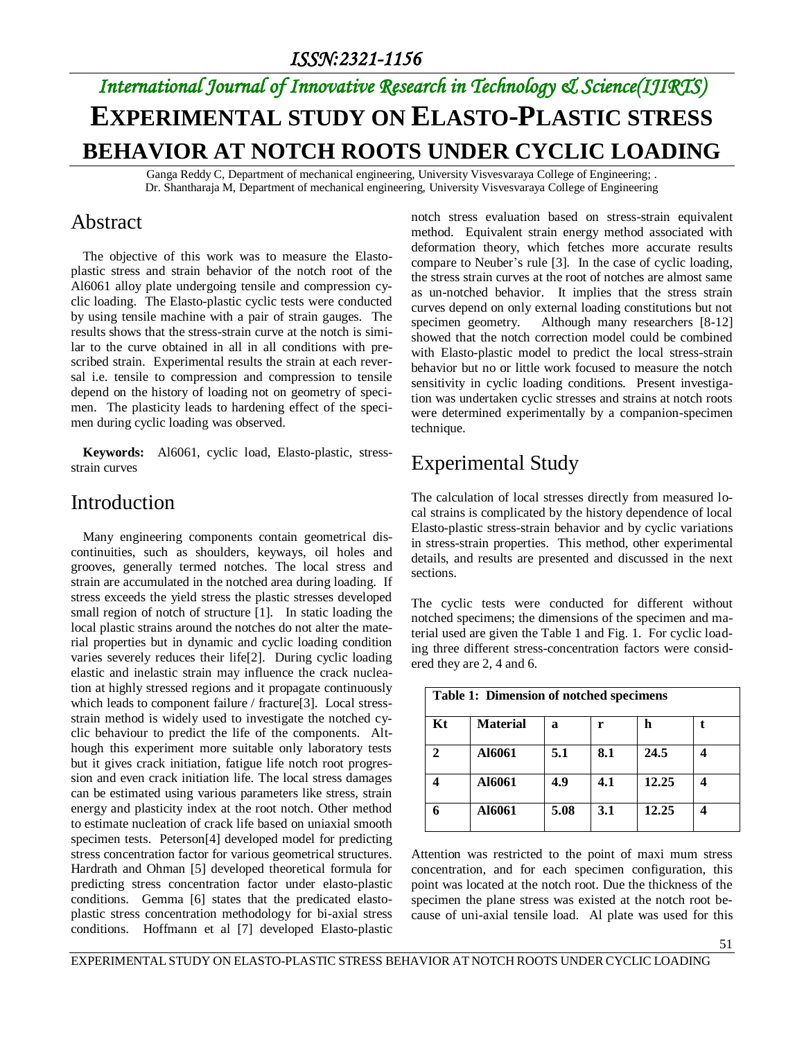# *International Journal of Innovative Research in Technology & Science(IJIRTS)* **EXPERIMENTAL STUDY ON ELASTO-PLASTIC STRESS BEHAVIOR AT NOTCH ROOTS UNDER CYCLIC LOADING**

Ganga Reddy C, Department of mechanical engineering, University Visvesvaraya College of Engineering; . Dr. Shantharaja M, Department of mechanical engineering, University Visvesvaraya College of Engineering

#### Abstract

The objective of this work was to measure the Elastoplastic stress and strain behavior of the notch root of the Al6061 alloy plate undergoing tensile and compression cyclic loading. The Elasto-plastic cyclic tests were conducted by using tensile machine with a pair of strain gauges. The results shows that the stress-strain curve at the notch is similar to the curve obtained in all in all conditions with prescribed strain. Experimental results the strain at each reversal i.e. tensile to compression and compression to tensile depend on the history of loading not on geometry of specimen. The plasticity leads to hardening effect of the specimen during cyclic loading was observed.

**Keywords:** Al6061, cyclic load, Elasto-plastic, stressstrain curves

#### Introduction

Many engineering components contain geometrical discontinuities, such as shoulders, keyways, oil holes and grooves, generally termed notches. The local stress and strain are accumulated in the notched area during loading. If stress exceeds the yield stress the plastic stresses developed small region of notch of structure [1]. In static loading the local plastic strains around the notches do not alter the material properties but in dynamic and cyclic loading condition varies severely reduces their life[2]. During cyclic loading elastic and inelastic strain may influence the crack nucleation at highly stressed regions and it propagate continuously which leads to component failure / fracture[3]. Local stressstrain method is widely used to investigate the notched cyclic behaviour to predict the life of the components. Although this experiment more suitable only laboratory tests but it gives crack initiation, fatigue life notch root progression and even crack initiation life. The local stress damages can be estimated using various parameters like stress, strain energy and plasticity index at the root notch. Other method to estimate nucleation of crack life based on uniaxial smooth specimen tests. Peterson[4] developed model for predicting stress concentration factor for various geometrical structures. Hardrath and Ohman [5] developed theoretical formula for predicting stress concentration factor under elasto-plastic conditions. Gemma [6] states that the predicated elastoplastic stress concentration methodology for bi-axial stress conditions. Hoffmann et al [7] developed Elasto-plastic

notch stress evaluation based on stress-strain equivalent method. Equivalent strain energy method associated with deformation theory, which fetches more accurate results compare to Neuber's rule [3]. In the case of cyclic loading, the stress strain curves at the root of notches are almost same as un-notched behavior. It implies that the stress strain curves depend on only external loading constitutions but not specimen geometry. Although many researchers [8-12] showed that the notch correction model could be combined with Elasto-plastic model to predict the local stress-strain behavior but no or little work focused to measure the notch sensitivity in cyclic loading conditions. Present investigation was undertaken cyclic stresses and strains at notch roots were determined experimentally by a companion-specimen technique.

## Experimental Study

The calculation of local stresses directly from measured local strains is complicated by the history dependence of local Elasto-plastic stress-strain behavior and by cyclic variations in stress-strain properties. This method, other experimental details, and results are presented and discussed in the next sections.

The cyclic tests were conducted for different without notched specimens; the dimensions of the specimen and material used are given the Table 1 and Fig. 1. For cyclic loading three different stress-concentration factors were considered they are 2, 4 and 6.

| Table 1: Dimension of notched specimens |                 |      |     |       |  |  |
|-----------------------------------------|-----------------|------|-----|-------|--|--|
| Kt                                      | <b>Material</b> | a    | r   | h     |  |  |
|                                         | A16061          | 5.1  | 8.1 | 24.5  |  |  |
|                                         | A16061          | 4.9  | 4.1 | 12.25 |  |  |
|                                         | A16061          | 5.08 | 3.1 | 12.25 |  |  |

Attention was restricted to the point of maxi mum stress concentration, and for each specimen configuration, this point was located at the notch root. Due the thickness of the specimen the plane stress was existed at the notch root because of uni-axial tensile load. Al plate was used for this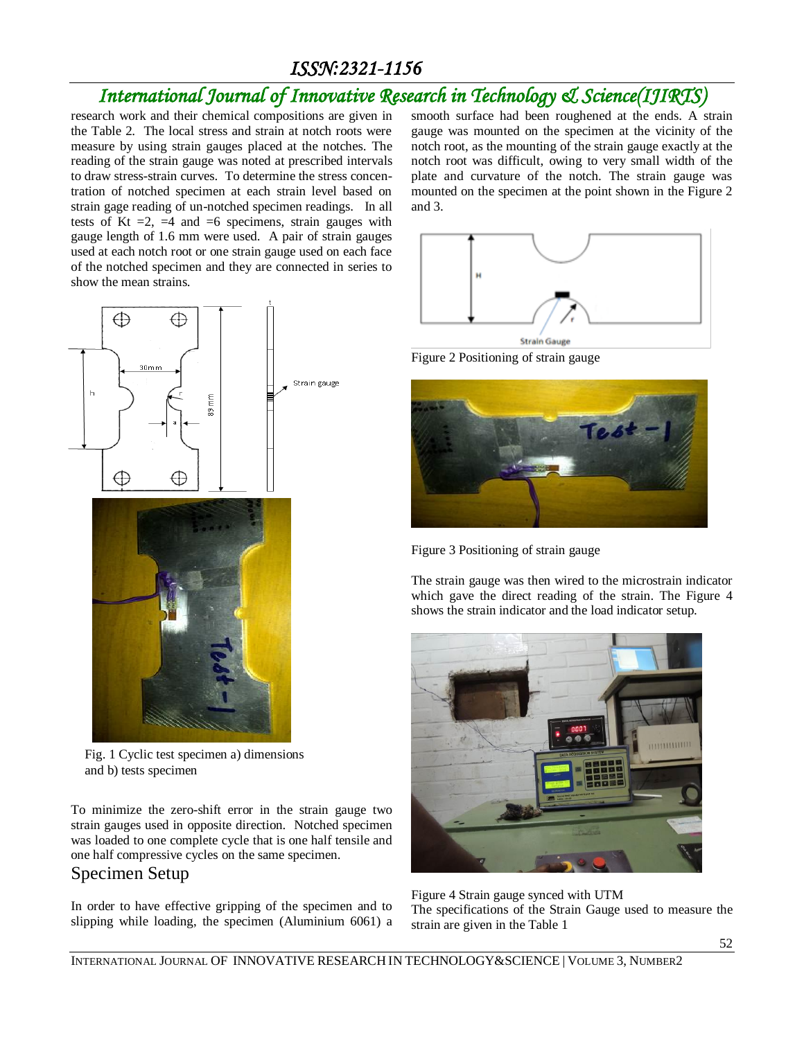# *International Journal of Innovative Research in Technology & Science(IJIRTS)*

research work and their chemical compositions are given in the Table 2. The local stress and strain at notch roots were measure by using strain gauges placed at the notches. The reading of the strain gauge was noted at prescribed intervals to draw stress-strain curves. To determine the stress concentration of notched specimen at each strain level based on strain gage reading of un-notched specimen readings. In all tests of Kt  $=2$ ,  $=4$  and  $=6$  specimens, strain gauges with gauge length of 1.6 mm were used. A pair of strain gauges used at each notch root or one strain gauge used on each face of the notched specimen and they are connected in series to show the mean strains.



Fig. 1 Cyclic test specimen a) dimensions and b) tests specimen

To minimize the zero-shift error in the strain gauge two strain gauges used in opposite direction. Notched specimen was loaded to one complete cycle that is one half tensile and one half compressive cycles on the same specimen.

#### Specimen Setup

In order to have effective gripping of the specimen and to slipping while loading, the specimen (Aluminium 6061) a smooth surface had been roughened at the ends. A strain gauge was mounted on the specimen at the vicinity of the notch root, as the mounting of the strain gauge exactly at the notch root was difficult, owing to very small width of the plate and curvature of the notch. The strain gauge was mounted on the specimen at the point shown in the Figure 2 and 3.



**Strain Gauge** Figure 2 Positioning of strain gauge



Figure 3 Positioning of strain gauge

The strain gauge was then wired to the microstrain indicator which gave the direct reading of the strain. The Figure 4 shows the strain indicator and the load indicator setup.



Figure 4 Strain gauge synced with UTM The specifications of the Strain Gauge used to measure the strain are given in the Table 1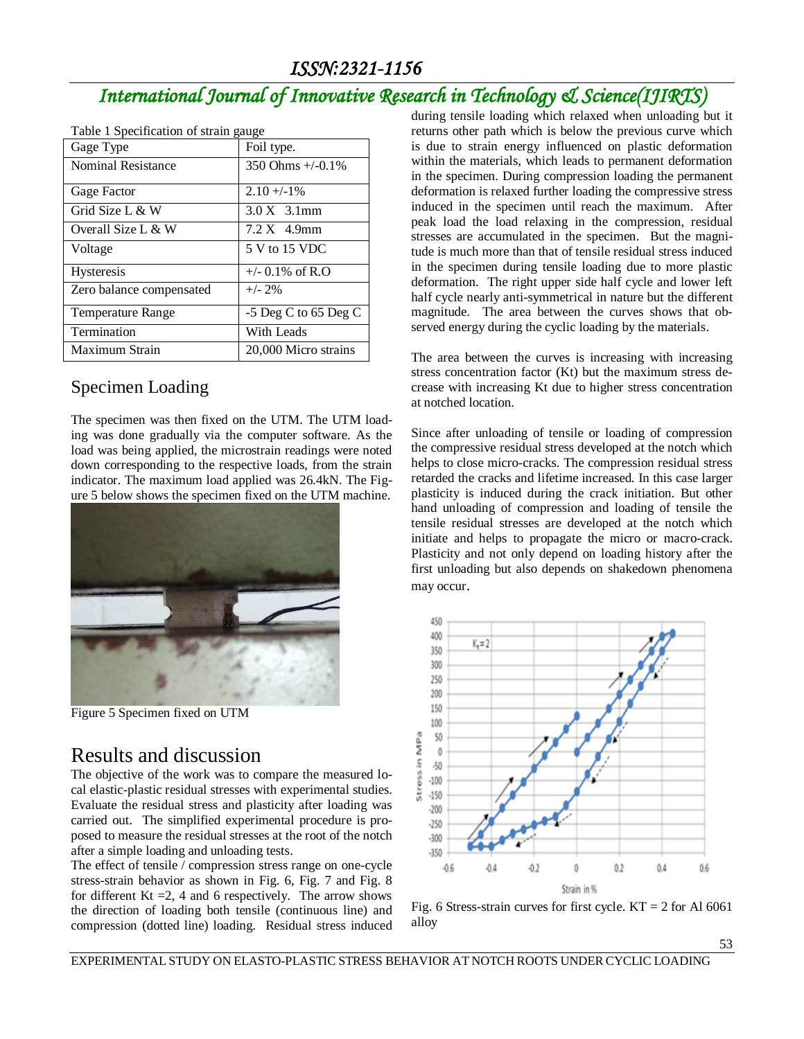# *International Journal of Innovative Research in Technology & Science(IJIRTS)*

| rable i Specification of strain gauge |                            |  |  |  |
|---------------------------------------|----------------------------|--|--|--|
| Gage Type                             | Foil type.                 |  |  |  |
| <b>Nominal Resistance</b>             | 350 Ohms $+/-0.1\%$        |  |  |  |
| Gage Factor                           | $2.10 + -1\%$              |  |  |  |
| Grid Size L & W                       | $3.0 X$ 3.1mm              |  |  |  |
| Overall Size L & W                    | $7.2 X$ 4.9mm              |  |  |  |
| Voltage                               | 5 V to 15 VDC              |  |  |  |
| <b>Hysteresis</b>                     | $+/- 0.1\% \text{ of R.O}$ |  |  |  |
| Zero balance compensated              | $+/- 2\%$                  |  |  |  |
| <b>Temperature Range</b>              | $-5$ Deg C to 65 Deg C     |  |  |  |
| Termination                           | With Leads                 |  |  |  |
| Maximum Strain                        | 20,000 Micro strains       |  |  |  |

| Table 1 Specification of strain gauge |                                     |
|---------------------------------------|-------------------------------------|
| $\alpha$ . $\alpha$                   | $\Gamma$ $\Gamma$ $\sim$ 1.4 $\sim$ |

#### Specimen Loading

The specimen was then fixed on the UTM. The UTM loading was done gradually via the computer software. As the load was being applied, the microstrain readings were noted down corresponding to the respective loads, from the strain indicator. The maximum load applied was 26.4kN. The Figure 5 below shows the specimen fixed on the UTM machine.



Figure 5 Specimen fixed on UTM

## Results and discussion

The objective of the work was to compare the measured local elastic-plastic residual stresses with experimental studies. Evaluate the residual stress and plasticity after loading was carried out. The simplified experimental procedure is proposed to measure the residual stresses at the root of the notch after a simple loading and unloading tests.

The effect of tensile / compression stress range on one-cycle stress-strain behavior as shown in Fig. 6, Fig. 7 and Fig. 8 for different Kt  $=2$ , 4 and 6 respectively. The arrow shows the direction of loading both tensile (continuous line) and compression (dotted line) loading. Residual stress induced during tensile loading which relaxed when unloading but it returns other path which is below the previous curve which is due to strain energy influenced on plastic deformation within the materials, which leads to permanent deformation in the specimen. During compression loading the permanent deformation is relaxed further loading the compressive stress induced in the specimen until reach the maximum. After peak load the load relaxing in the compression, residual stresses are accumulated in the specimen. But the magnitude is much more than that of tensile residual stress induced in the specimen during tensile loading due to more plastic deformation. The right upper side half cycle and lower left half cycle nearly anti-symmetrical in nature but the different magnitude. The area between the curves shows that observed energy during the cyclic loading by the materials.

The area between the curves is increasing with increasing stress concentration factor (Kt) but the maximum stress decrease with increasing Kt due to higher stress concentration at notched location.

Since after unloading of tensile or loading of compression the compressive residual stress developed at the notch which helps to close micro-cracks. The compression residual stress retarded the cracks and lifetime increased. In this case larger plasticity is induced during the crack initiation. But other hand unloading of compression and loading of tensile the tensile residual stresses are developed at the notch which initiate and helps to propagate the micro or macro-crack. Plasticity and not only depend on loading history after the first unloading but also depends on shakedown phenomena may occur.



Fig. 6 Stress-strain curves for first cycle.  $KT = 2$  for Al 6061 alloy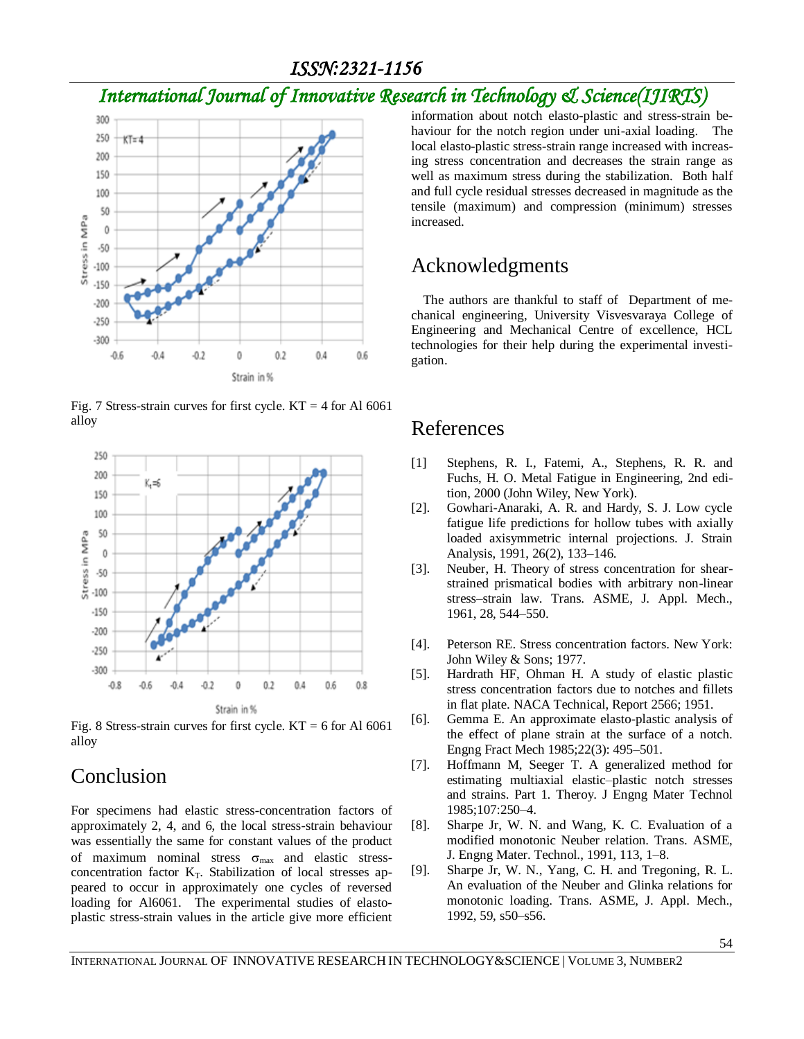# *International Journal of Innovative Research in Technology & Science(IJIRTS)*



Fig. 7 Stress-strain curves for first cycle.  $KT = 4$  for Al 6061 alloy



Fig. 8 Stress-strain curves for first cycle.  $KT = 6$  for Al 6061 alloy

### Conclusion

For specimens had elastic stress-concentration factors of approximately 2, 4, and 6, the local stress-strain behaviour was essentially the same for constant values of the product of maximum nominal stress  $\sigma_{\text{max}}$  and elastic stressconcentration factor  $K_T$ . Stabilization of local stresses appeared to occur in approximately one cycles of reversed loading for Al6061. The experimental studies of elastoplastic stress-strain values in the article give more efficient

information about notch elasto-plastic and stress-strain behaviour for the notch region under uni-axial loading. The local elasto-plastic stress-strain range increased with increasing stress concentration and decreases the strain range as well as maximum stress during the stabilization. Both half and full cycle residual stresses decreased in magnitude as the tensile (maximum) and compression (minimum) stresses increased.

# Acknowledgments

The authors are thankful to staff of Department of mechanical engineering, University Visvesvaraya College of Engineering and Mechanical Centre of excellence, HCL technologies for their help during the experimental investigation.

## References

- [1] Stephens, R. I., Fatemi, A., Stephens, R. R. and Fuchs, H. O. Metal Fatigue in Engineering, 2nd edition, 2000 (John Wiley, New York).
- [2]. Gowhari-Anaraki, A. R. and Hardy, S. J. Low cycle fatigue life predictions for hollow tubes with axially loaded axisymmetric internal projections. J. Strain Analysis, 1991, 26(2), 133–146.
- [3]. Neuber, H. Theory of stress concentration for shearstrained prismatical bodies with arbitrary non-linear stress–strain law. Trans. ASME, J. Appl. Mech., 1961, 28, 544–550.
- [4]. Peterson RE. Stress concentration factors. New York: John Wiley & Sons; 1977.
- [5]. Hardrath HF, Ohman H. A study of elastic plastic stress concentration factors due to notches and fillets in flat plate. NACA Technical, Report 2566; 1951.
- [6]. Gemma E. An approximate elasto-plastic analysis of the effect of plane strain at the surface of a notch. Engng Fract Mech 1985;22(3): 495–501.
- [7]. Hoffmann M, Seeger T. A generalized method for estimating multiaxial elastic–plastic notch stresses and strains. Part 1. Theroy. J Engng Mater Technol 1985;107:250–4.
- [8]. Sharpe Jr, W. N. and Wang, K. C. Evaluation of a modified monotonic Neuber relation. Trans. ASME, J. Engng Mater. Technol., 1991, 113, 1–8.
- [9]. Sharpe Jr, W. N., Yang, C. H. and Tregoning, R. L. An evaluation of the Neuber and Glinka relations for monotonic loading. Trans. ASME, J. Appl. Mech., 1992, 59, s50–s56.